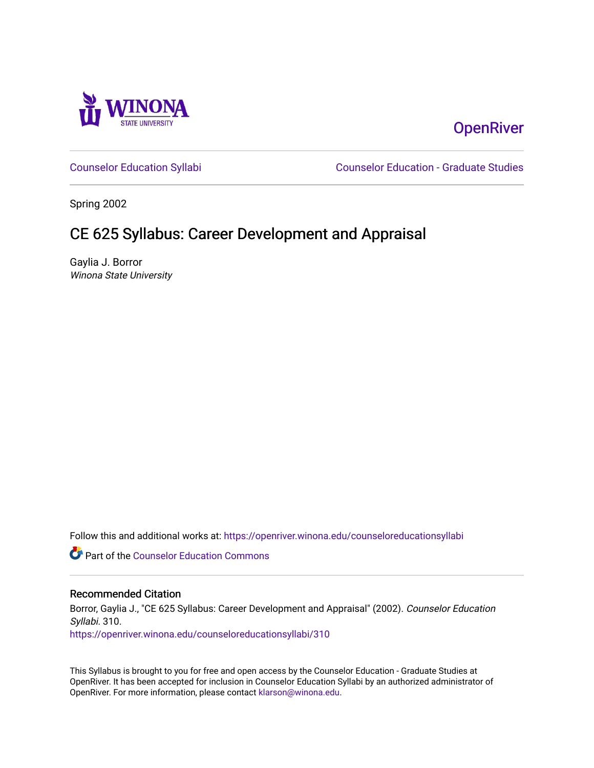

# **OpenRiver**

[Counselor Education Syllabi](https://openriver.winona.edu/counseloreducationsyllabi) [Counselor Education - Graduate Studies](https://openriver.winona.edu/counseloreducation) 

Spring 2002

# CE 625 Syllabus: Career Development and Appraisal

Gaylia J. Borror Winona State University

Follow this and additional works at: [https://openriver.winona.edu/counseloreducationsyllabi](https://openriver.winona.edu/counseloreducationsyllabi?utm_source=openriver.winona.edu%2Fcounseloreducationsyllabi%2F310&utm_medium=PDF&utm_campaign=PDFCoverPages)

Part of the [Counselor Education Commons](http://network.bepress.com/hgg/discipline/1278?utm_source=openriver.winona.edu%2Fcounseloreducationsyllabi%2F310&utm_medium=PDF&utm_campaign=PDFCoverPages) 

#### Recommended Citation

Borror, Gaylia J., "CE 625 Syllabus: Career Development and Appraisal" (2002). Counselor Education Syllabi. 310.

[https://openriver.winona.edu/counseloreducationsyllabi/310](https://openriver.winona.edu/counseloreducationsyllabi/310?utm_source=openriver.winona.edu%2Fcounseloreducationsyllabi%2F310&utm_medium=PDF&utm_campaign=PDFCoverPages)

This Syllabus is brought to you for free and open access by the Counselor Education - Graduate Studies at OpenRiver. It has been accepted for inclusion in Counselor Education Syllabi by an authorized administrator of OpenRiver. For more information, please contact [klarson@winona.edu](mailto:klarson@winona.edu).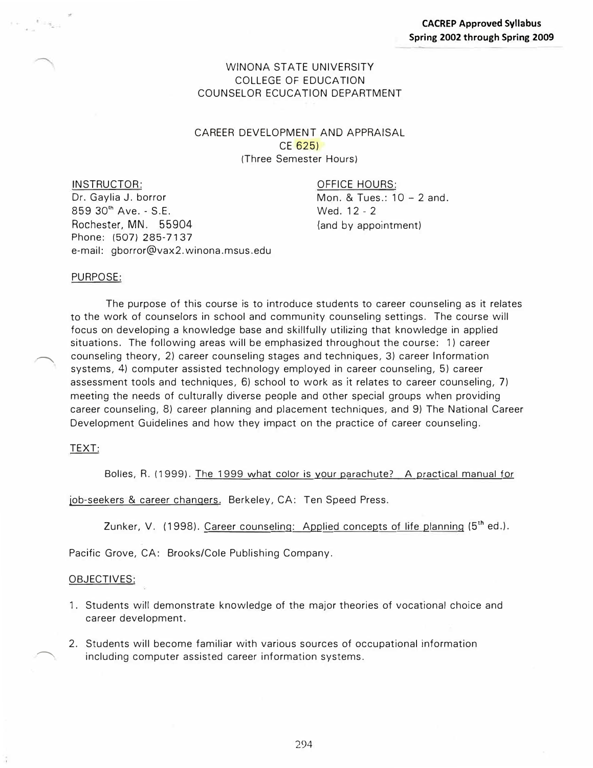### WINONA STATE UNIVERSITY COLLEGE OF EDUCATION COUNSELOR ECUCATION DEPARTMENT

CAREER DEVELOPMENT AND APPRAISAL CE 625) (Three Semester Hours)

INSTRUCTOR:

*Dr.* Gaylia J. borror 859 30<sup>th</sup> Ave. - S.E. Rochester, MN. 55904 Phone: (507) 285-7137

e-mail: gborror@vax2.winona.msus.edu

OFFICE HOURS:

Mon. & Tues.: 10 - 2 and. Wed. 12 - 2 (and by appointment)

#### PURPOSE:

The purpose of this course is to introduce students to career counseling as it relates to the work of counselors in school and community counseling settings. The course will focus on developing a knowledge base and skillfully utilizing that knowledge in applied situations. The following areas will be emphasized throughout the course: 1) career counseling theory, 2) career counseling stages and techniques, 3) career Information systems, 4) computer assisted technology employed in career counseling, 5) career assessment tools and techniques, 6) school to work as it relates to career counseling, 7) meeting the needs of culturally diverse people and other special groups when providing career counseling, 8) career planning and placement techniques, and 9) The National Career Development Guidelines and how they impact on the practice of career counseling.

#### TEXT:

 $\overline{\phantom{a}}$ 

Bolles, R. (1999). The 1999 what color is your parachute? A practical manual for

job-seekers & career changers. Berkeley, CA: Ten Speed Press.

Zunker, V. (1998). Career counseling: Applied concepts of life planning (5**1h** ed.).

Pacific Grove, CA: Brooks/Cole Publishing Company.

#### OBJECTIVES:

- 1. Students will demonstrate knowledge of the major theories of vocational choice and career development.
- 2. Students will become familiar with various sources of occupational information including computer assisted career information systems.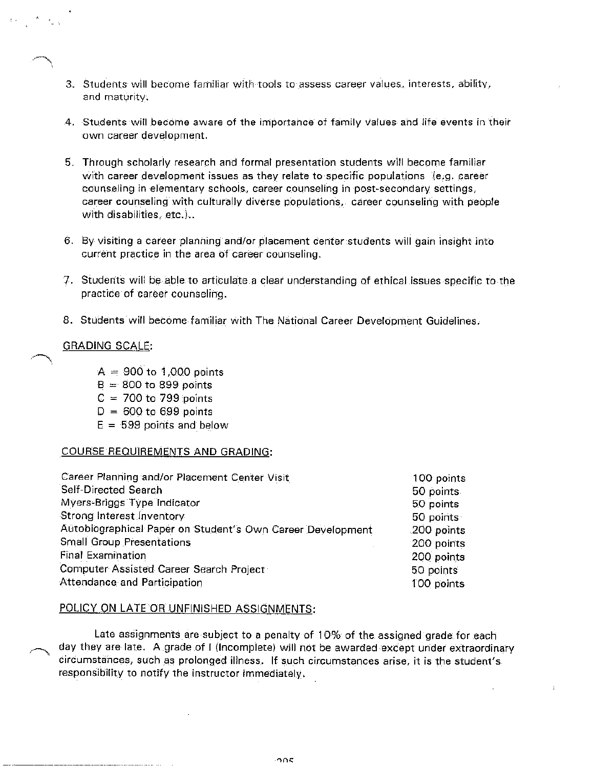- 3. Students will become familiar with tools to assess career values, interests, ability, and maturity.
- 4. Students will become aware of the importance of family values and life events in their own career development.
- 5. Through scholarly research and formal presentation students will become familiar with career development issues as they relate to specific populations (e.g. career counseling in elementary schools, career counseling in post-secondary settings, career counseling with culturally diverse populations, career counseling with people with disabilities, etc.)..
- 6. By visiting a career planning and/or placement center students will gain insight into current practice in the area of career counseling.
- 7. Students will be able to articulate a clear understanding of ethical issues specific to the practice of career counseling.
- 8. Students will become familiar with The National Career Development Guidelines.

#### **GRADING SCALE:**

- $A = 900$  to 1,000 points
- $B = 800$  to 899 points
- $C = 700$  to 799 points
- $D = 600$  to 699 points
- $E = 599$  points and below

#### COURSE REQUIREMENTS AND GRADING:

| Career Planning and/or Placement Center Visit              | 100 points  |
|------------------------------------------------------------|-------------|
| Self-Directed Search                                       | 50 points   |
| Myers-Briggs Type Indicator                                | 50 points   |
| Strong Interest Inventory                                  | 50 points   |
| Autobiographical Paper on Student's Own Career Development | .200 points |
| <b>Small Group Presentations</b>                           | 200 points  |
| <b>Final Examination</b>                                   | 200 points  |
| Computer Assisted Career Search Project                    | 50 points   |
| Attendance and Participation                               | 100 points  |

#### POLICY ON LATE OR UNFINISHED ASSIGNMENTS:

Late assignments are subject to a penalty of 10% of the assigned grade for each day they are late. A grade of I (Incomplete) will not be awarded except under extraordinary circumstances, such as prolonged illness. If such circumstances arise, it is the student's responsibility to notify the instructor immediately.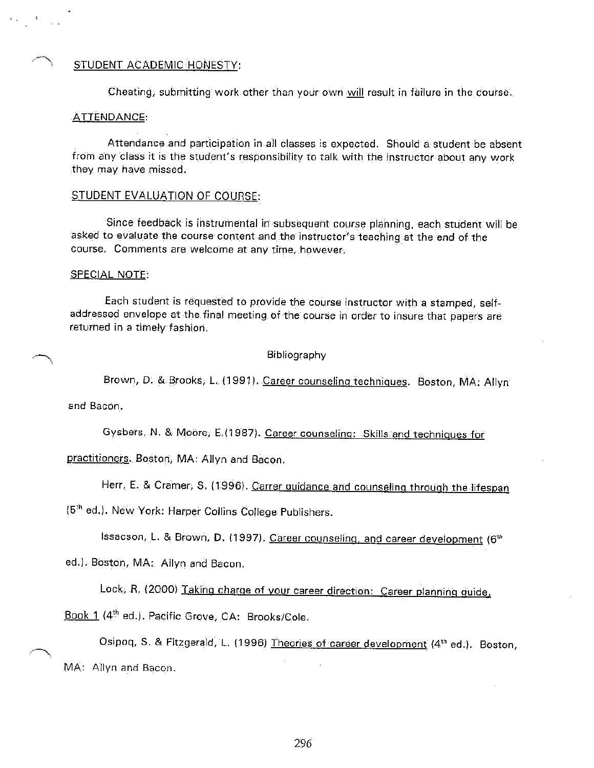#### STUDENT ACADEMIC HONESTY:

Cheating, submitting work other than your own will result in failure in the course.

#### **ATTENDANCE:**

Attendance and participation in all classes is expected. Should a student be absent from any class it is the student's responsibility to talk with the instructor about any work they may have missed.

#### STUDENT EVALUATION OF COURSE:

Since feedback is instrumental in subsequent course planning, each student will be asked to evaluate the course content and the instructor's teaching at the end of the course. Comments are welcome at any time, however.

#### SPECIAL NOTE:

Each student is requested to provide the course instructor with a stamped, selfaddressed envelope at the final meeting of the course in order to insure that papers are returned in a timely fashion.

Bibliography

Brown, D. & Brooks, L. (1991). Career counseling techniques. Boston, MA: Allyn

and Bacon.

Gysbers, N. & Moore, E. (1987). Career counseling: Skills and techniques for

practitioners. Boston, MA: Allyn and Bacon.

Herr, E. & Cramer, S. (1996). Carrer guidance and counseling through the lifespan

(5<sup>th</sup> ed.). New York: Harper Collins College Publishers.

Issacson, L. & Brown, D. (1997). Career counseling, and career development (6th

ed.). Boston, MA: Allyn and Bacon.

Lock, R. (2000) Taking charge of your career direction: Career planning guide,

Book 1 (4th ed.). Pacific Grove, CA: Brooks/Cole.

Osipoq, S. & Fitzgerald, L. (1996) Theories of career development (4<sup>th</sup> ed.). Boston, MA: Allyn and Bacon.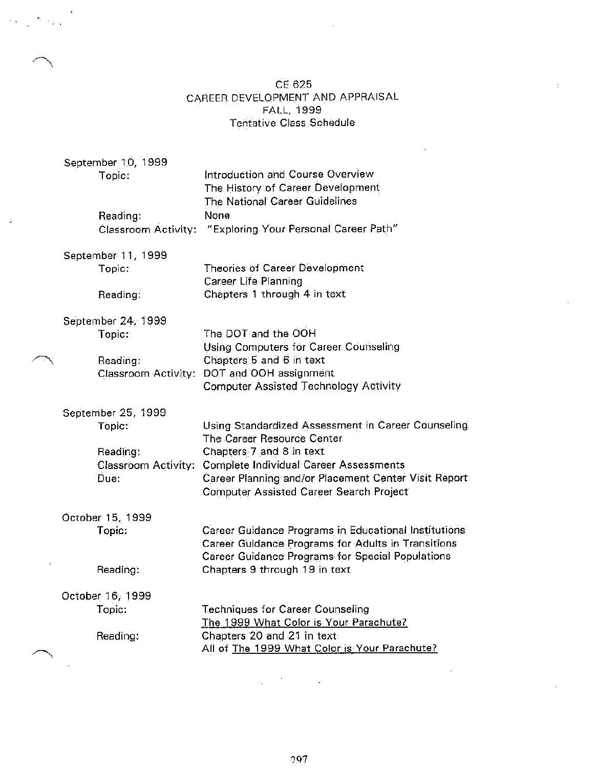## CE 625 CAREER DEVELOPMENT AND APPRAISAL FALL, 1999 **Tentative Class Schedule**

|  | September 10, 1999<br>Topic:                                                   | Introduction and Course Overview<br>The History of Career Development                                                                                                                                                                                                   |
|--|--------------------------------------------------------------------------------|-------------------------------------------------------------------------------------------------------------------------------------------------------------------------------------------------------------------------------------------------------------------------|
|  | Reading:<br>Classroom Activity:                                                | The National Career Guidelines<br>None<br>"Exploring Your Personal Career Path"                                                                                                                                                                                         |
|  | September 11, 1999<br>Topic:<br>Reading:                                       | <b>Theories of Career Development</b><br><b>Career Life Planning</b><br>Chapters 1 through 4 in text                                                                                                                                                                    |
|  | September 24, 1999<br>Topic:<br>Reading:                                       | The DOT and the OOH<br>Using Computers for Career Counseling<br>Chapters 5 and 6 in text<br>Classroom Activity: DOT and OOH assignment<br><b>Computer Assisted Technology Activity</b>                                                                                  |
|  | September 25, 1999<br>Topic:<br>Reading:<br><b>Classroom Activity:</b><br>Due: | Using Standardized Assessment in Career Counseling<br>The Career Resource Center<br>Chapters 7 and 8 in text<br><b>Complete Individual Career Assessments</b><br>Career Planning and/or Placement Center Visit Report<br><b>Computer Assisted Career Search Project</b> |
|  | October 15, 1999<br>Topic:<br>Reading:                                         | Career Guidance Programs in Educational Institutions<br>Career Guidance Programs for Adults in Transitions<br>Career Guidance Programs for Special Populations<br>Chapters 9 through 19 in text                                                                         |
|  | October 16, 1999<br>Topic:<br>Reading:                                         | Techniques for Career Counseling<br>The 1999 What Color is Your Parachute?<br>Chapters 20 and 21 in text                                                                                                                                                                |
|  |                                                                                | All of The 1999 What Color is Your Parachute?                                                                                                                                                                                                                           |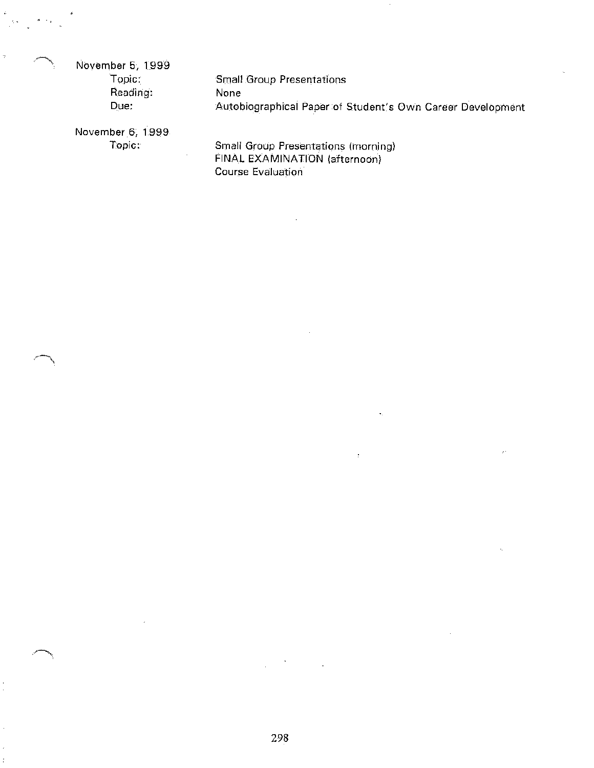November 5, 1999

Topic: Reading: Due:

**Small Group Presentations** None Autobiographical Paper of Student's Own Career Development

November 6, 1999 Topic:

**Small Group Presentations (morning)** FINAL EXAMINATION (afternoon) Course Evaluation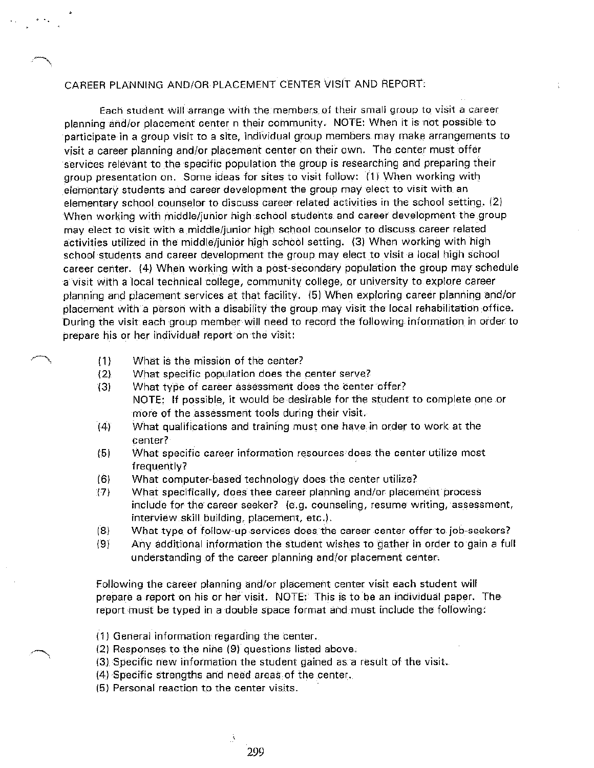## CAREER PLANNING AND/OR PLACEMENT CENTER VISIT AND REPORT:

Each student will arrange with the members of their small group to visit a career planning and/or placement center n their community. NOTE: When it is not possible to participate in a group visit to a site, individual group members may make arrangements to visit a career planning and/or placement center on their own. The center must offer services relevant to the specific population the group is researching and preparing their group presentation on. Some ideas for sites to visit follow: (1) When working with elementary students and career development the group may elect to visit with an elementary school counselor to discuss career related activities in the school setting. (2) When working with middle/junior high school students and career development the group may elect to visit with a middle/junior high school counselor to discuss career related activities utilized in the middle/junior high school setting. (3) When working with high school students and career development the group may elect to visit a local high school career center. (4) When working with a post-secondary population the group may schedule a visit with a local technical college, community college, or university to explore career planning and placement services at that facility. (5) When exploring career planning and/or placement with a person with a disability the group may visit the local rehabilitation office. During the visit each group member will need to record the following information in order to prepare his or her individual report on the visit:

- What is the mission of the center?  $(1)$
- $(2)$ What specific population does the center serve?
- What type of career assessment does the center offer? 73) NOTE: If possible, it would be desirable for the student to complete one or more of the assessment tools during their visit.
- $(4)$ What qualifications and training must one have in order to work at the center?
- $(5)$ What specific career information resources does the center utilize most frequently?
- $(6)$ What computer-based technology does the center utilize?
- What specifically, does thee career planning and/or placement process  $(7)$ include for the career seeker? (e.g. counseling, resume writing, assessment, interview skill building, placement, etc.).
- What type of follow-up services does the career center offer to job-seekers?  $(8)$
- $(9)$ Any additional information the student wishes to gather in order to gain a full understanding of the career planning and/or placement center.

Following the career planning and/or placement center visit each student will prepare a report on his or her visit. NOTE: This is to be an individual paper. The report must be typed in a double space format and must include the following:

- (1) General information regarding the center.
- (2) Responses to the nine (9) questions listed above.
- (3) Specific new information the student gained as a result of the visit.
- (4) Specific strengths and need areas of the center.
- (5) Personal reaction to the center visits.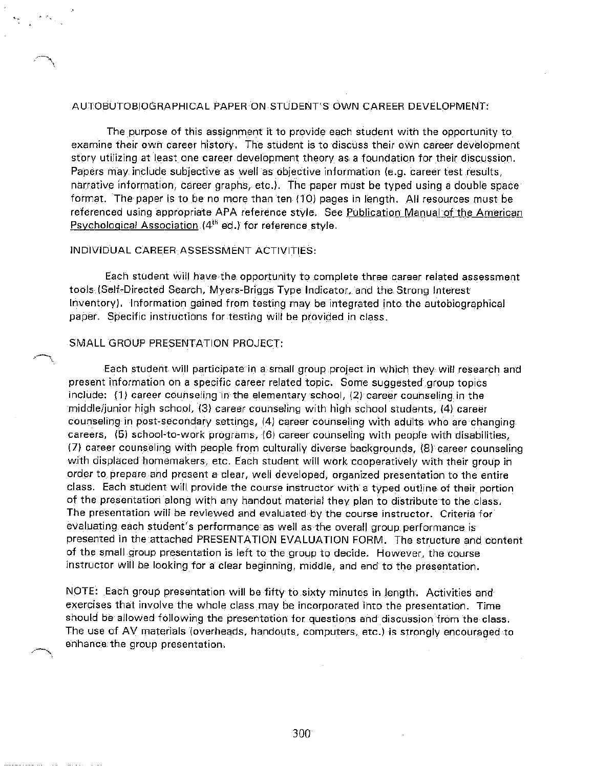#### AUTOBUTOBIOGRAPHICAL PAPER ON STUDENT'S OWN CAREER DEVELOPMENT:

The purpose of this assignment it to provide each student with the opportunity to examine their own career history. The student is to discuss their own career development story utilizing at least one career development theory as a foundation for their discussion. Papers may include subjective as well as objective information (e.g. career test results, narrative information, career graphs, etc.). The paper must be typed using a double space format. The paper is to be no more than ten (10) pages in length. All resources must be referenced using appropriate APA reference style. See Publication Manual of the American Psychological Association (4<sup>th</sup> ed.) for reference style.

#### INDIVIDUAL CAREER ASSESSMENT ACTIVITIES:

Each student will have the opportunity to complete three career related assessment tools (Self-Directed Search, Myers-Briggs Type Indicator, and the Strong Interest Inventory). Information gained from testing may be integrated into the autobiographical paper. Specific instructions for testing will be provided in class.

#### SMALL GROUP PRESENTATION PROJECT:

Each student will participate in a small group project in which they will research and present information on a specific career related topic. Some suggested group topics include: (1) career counseling in the elementary school, (2) career counseling in the middle/junior high school, (3) career counseling with high school students, (4) career counseling in post-secondary settings, (4) career counseling with adults who are changing. careers, (5) school-to-work programs, (6) career counseling with people with disabilities, (7) career counseling with people from culturally diverse backgrounds, (8) career counseling with displaced homemakers, etc. Each student will work cooperatively with their group in order to prepare and present a clear, well developed, organized presentation to the entire class. Each student will provide the course instructor with a typed outline of their portion of the presentation along with any handout material they plan to distribute to the class. The presentation will be reviewed and evaluated by the course instructor. Criteria for evaluating each student's performance as well as the overall group performance is presented in the attached PRESENTATION EVALUATION FORM. The structure and content of the small group presentation is left to the group to decide. However, the course instructor will be looking for a clear beginning, middle, and end to the presentation.

NOTE: Each group presentation will be fifty to sixty minutes in length. Activities and exercises that involve the whole class may be incorporated into the presentation. Time should be allowed following the presentation for questions and discussion from the class. The use of AV materials (overheads, handouts, computers, etc.) is strongly encouraged to enhance the group presentation.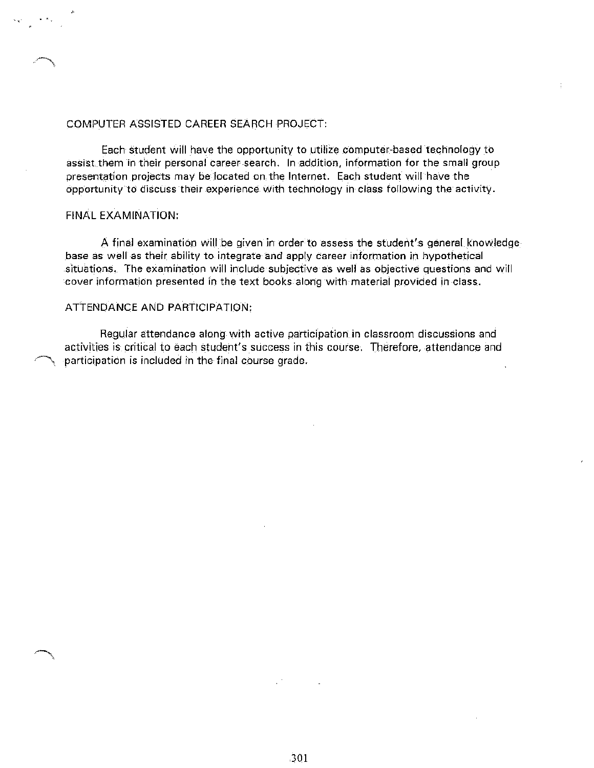#### COMPUTER ASSISTED CAREER SEARCH PROJECT:

Each student will have the opportunity to utilize computer-based technology to assist them in their personal career search. In addition, information for the small group presentation projects may be located on the Internet. Each student will have the opportunity to discuss their experience with technology in class following the activity.

#### **FINAL EXAMINATION:**

A final examination will be given in order to assess the student's general knowledge base as well as their ability to integrate and apply career information in hypothetical situations. The examination will include subjective as well as objective questions and will cover information presented in the text books along with material provided in class.

#### ATTENDANCE AND PARTICIPATION:

Regular attendance along with active participation in classroom discussions and activities is critical to each student's success in this course. Therefore, attendance and participation is included in the final course grade.